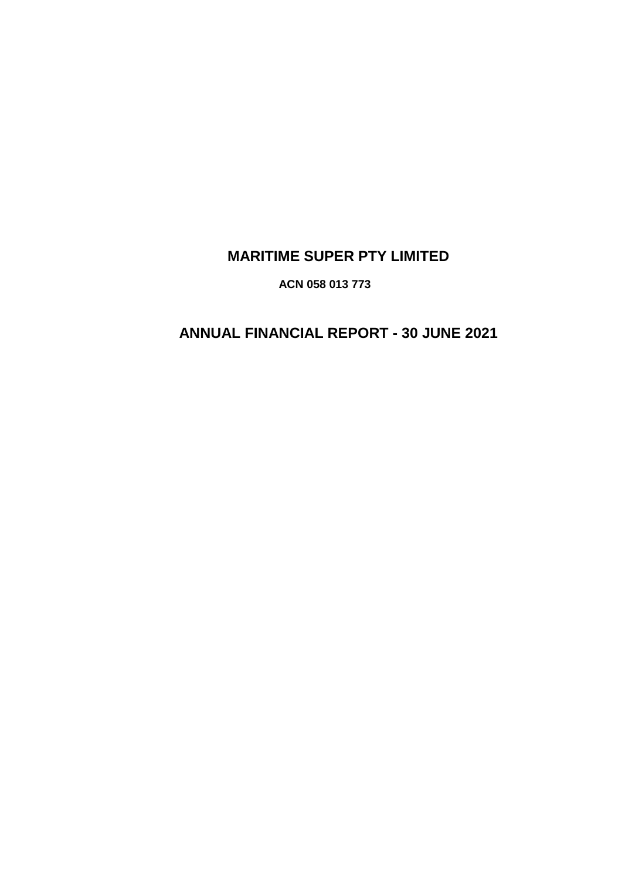# **MARITIME SUPER PTY LIMITED**

**ACN 058 013 773**

# **ANNUAL FINANCIAL REPORT - 30 JUNE 2021**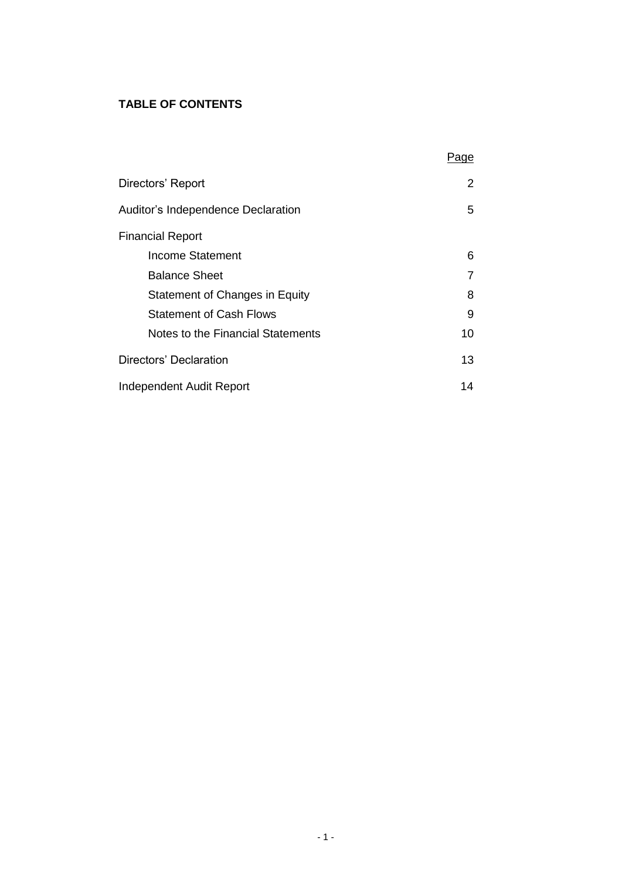# **TABLE OF CONTENTS**

|                                    | age |
|------------------------------------|-----|
| Directors' Report                  | 2   |
| Auditor's Independence Declaration | 5   |
| <b>Financial Report</b>            |     |
| Income Statement                   | 6   |
| <b>Balance Sheet</b>               |     |
| Statement of Changes in Equity     | 8   |
| <b>Statement of Cash Flows</b>     | 9   |
| Notes to the Financial Statements  | 10  |
| Directors' Declaration             | 13  |
| Independent Audit Report           | 14  |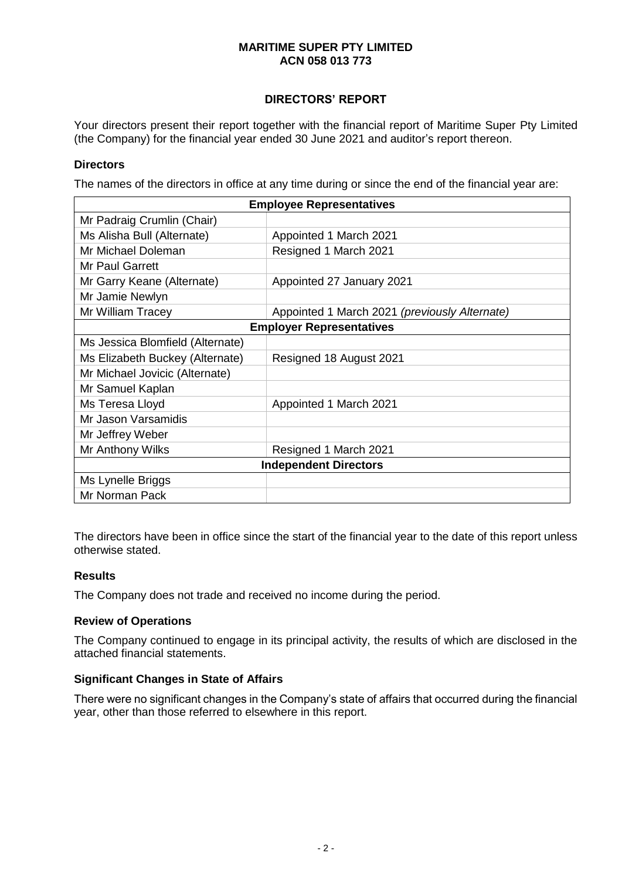# **DIRECTORS' REPORT**

Your directors present their report together with the financial report of Maritime Super Pty Limited (the Company) for the financial year ended 30 June 2021 and auditor's report thereon.

#### **Directors**

The names of the directors in office at any time during or since the end of the financial year are:

| <b>Employee Representatives</b>  |                                               |  |  |
|----------------------------------|-----------------------------------------------|--|--|
| Mr Padraig Crumlin (Chair)       |                                               |  |  |
| Ms Alisha Bull (Alternate)       | Appointed 1 March 2021                        |  |  |
| Mr Michael Doleman               | Resigned 1 March 2021                         |  |  |
| Mr Paul Garrett                  |                                               |  |  |
| Mr Garry Keane (Alternate)       | Appointed 27 January 2021                     |  |  |
| Mr Jamie Newlyn                  |                                               |  |  |
| Mr William Tracey                | Appointed 1 March 2021 (previously Alternate) |  |  |
| <b>Employer Representatives</b>  |                                               |  |  |
| Ms Jessica Blomfield (Alternate) |                                               |  |  |
| Ms Elizabeth Buckey (Alternate)  | Resigned 18 August 2021                       |  |  |
| Mr Michael Jovicic (Alternate)   |                                               |  |  |
| Mr Samuel Kaplan                 |                                               |  |  |
| Ms Teresa Lloyd                  | Appointed 1 March 2021                        |  |  |
| Mr Jason Varsamidis              |                                               |  |  |
| Mr Jeffrey Weber                 |                                               |  |  |
| Mr Anthony Wilks                 | Resigned 1 March 2021                         |  |  |
| <b>Independent Directors</b>     |                                               |  |  |
| Ms Lynelle Briggs                |                                               |  |  |
| Mr Norman Pack                   |                                               |  |  |

The directors have been in office since the start of the financial year to the date of this report unless otherwise stated.

#### **Results**

The Company does not trade and received no income during the period.

#### **Review of Operations**

The Company continued to engage in its principal activity, the results of which are disclosed in the attached financial statements.

#### **Significant Changes in State of Affairs**

There were no significant changes in the Company's state of affairs that occurred during the financial year, other than those referred to elsewhere in this report.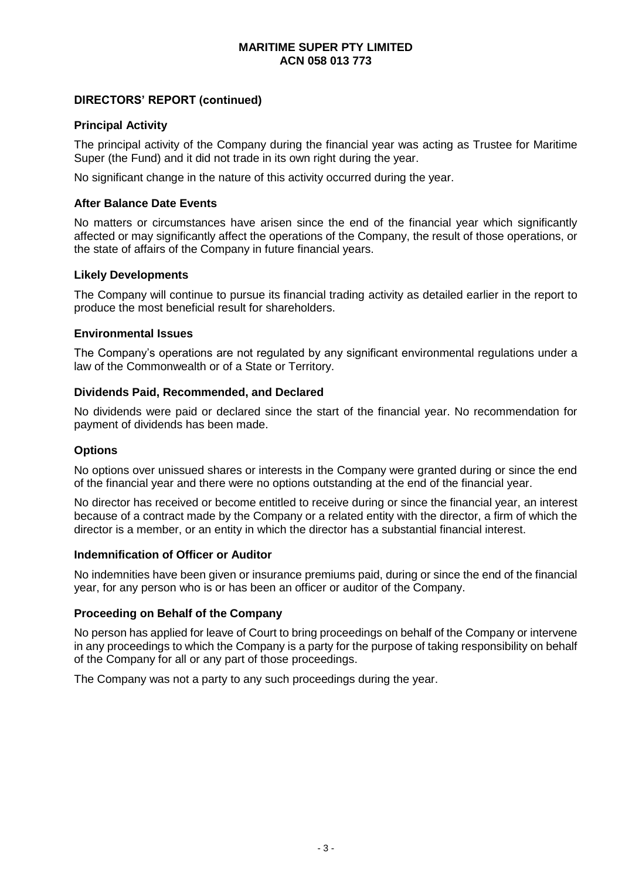# **DIRECTORS' REPORT (continued)**

#### **Principal Activity**

The principal activity of the Company during the financial year was acting as Trustee for Maritime Super (the Fund) and it did not trade in its own right during the year.

No significant change in the nature of this activity occurred during the year.

#### **After Balance Date Events**

No matters or circumstances have arisen since the end of the financial year which significantly affected or may significantly affect the operations of the Company, the result of those operations, or the state of affairs of the Company in future financial years.

#### **Likely Developments**

The Company will continue to pursue its financial trading activity as detailed earlier in the report to produce the most beneficial result for shareholders.

#### **Environmental Issues**

The Company's operations are not regulated by any significant environmental regulations under a law of the Commonwealth or of a State or Territory.

#### **Dividends Paid, Recommended, and Declared**

No dividends were paid or declared since the start of the financial year. No recommendation for payment of dividends has been made.

#### **Options**

No options over unissued shares or interests in the Company were granted during or since the end of the financial year and there were no options outstanding at the end of the financial year.

No director has received or become entitled to receive during or since the financial year, an interest because of a contract made by the Company or a related entity with the director, a firm of which the director is a member, or an entity in which the director has a substantial financial interest.

#### **Indemnification of Officer or Auditor**

No indemnities have been given or insurance premiums paid, during or since the end of the financial year, for any person who is or has been an officer or auditor of the Company.

#### **Proceeding on Behalf of the Company**

No person has applied for leave of Court to bring proceedings on behalf of the Company or intervene in any proceedings to which the Company is a party for the purpose of taking responsibility on behalf of the Company for all or any part of those proceedings.

The Company was not a party to any such proceedings during the year.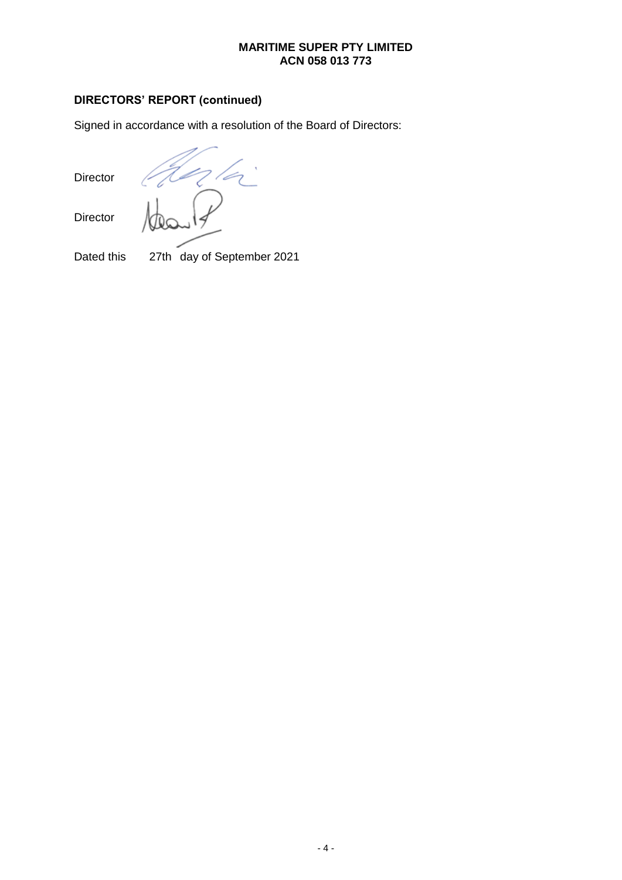# **DIRECTORS' REPORT (continued)**

Signed in accordance with a resolution of the Board of Directors:

Director

Director

n la

Dated this 27th day of September 2021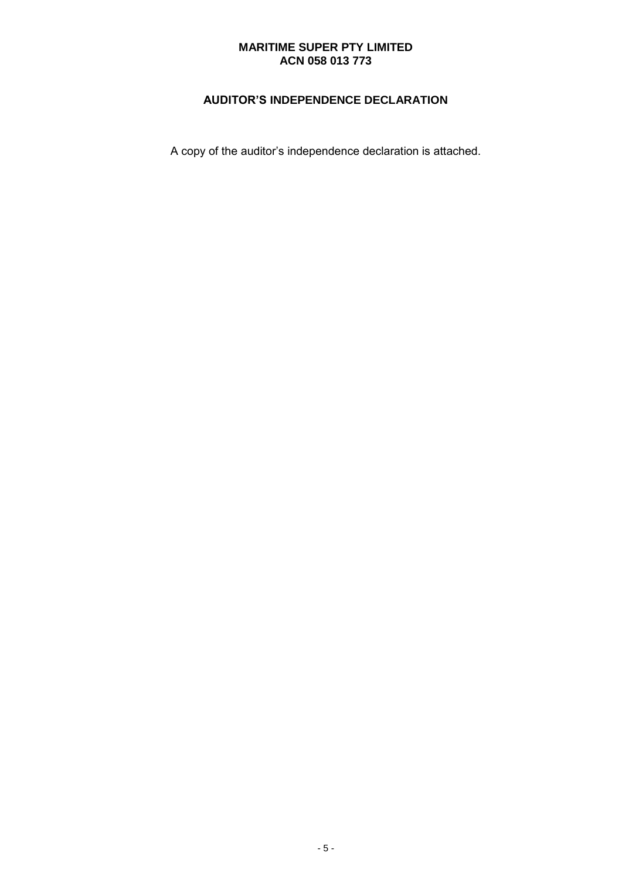# **AUDITOR'S INDEPENDENCE DECLARATION**

A copy of the auditor's independence declaration is attached.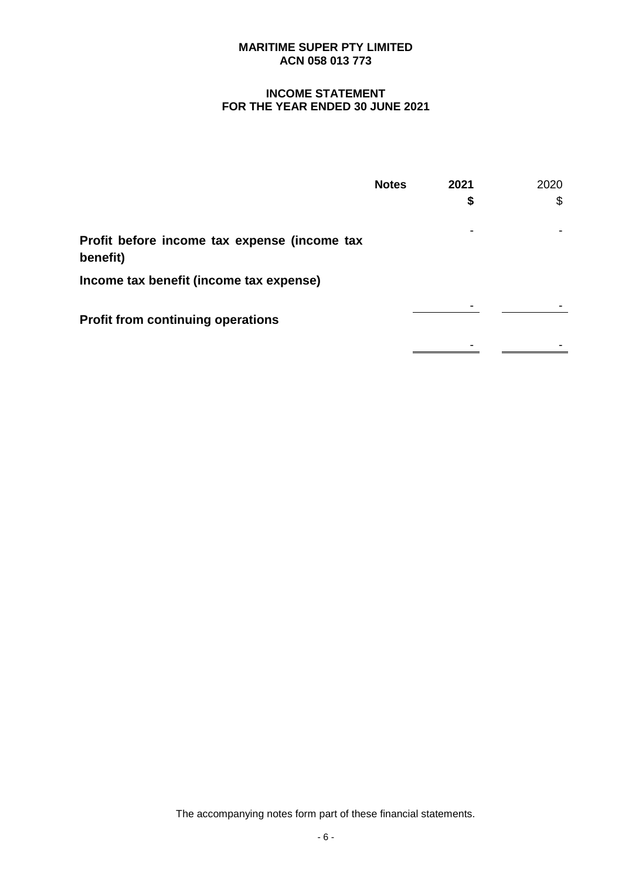# **INCOME STATEMENT FOR THE YEAR ENDED 30 JUNE 2021**

|                                                          | <b>Notes</b> | 2021 | 2020 |
|----------------------------------------------------------|--------------|------|------|
|                                                          |              | \$   | S    |
| Profit before income tax expense (income tax<br>benefit) |              |      |      |
| Income tax benefit (income tax expense)                  |              |      |      |
| <b>Profit from continuing operations</b>                 |              |      |      |
|                                                          |              |      |      |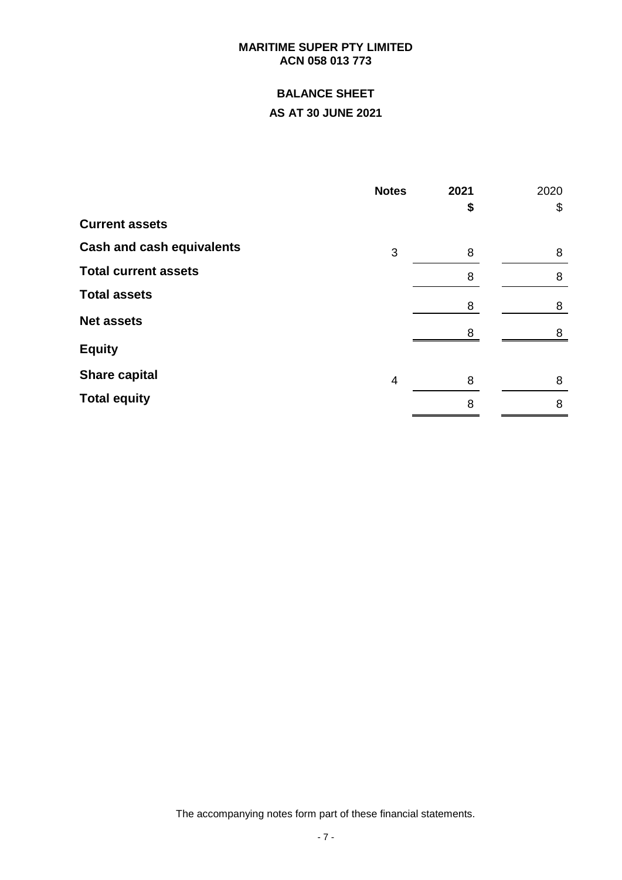# **BALANCE SHEET**

# **AS AT 30 JUNE 2021**

| <b>Notes</b> | 2021 | 2020   |
|--------------|------|--------|
|              | \$   | \$     |
|              |      |        |
| 3            | 8    | 8      |
|              | 8    | 8      |
|              |      | 8      |
|              |      |        |
|              |      | 8      |
| 4            | 8    | 8      |
|              | 8    | 8      |
|              |      | 8<br>8 |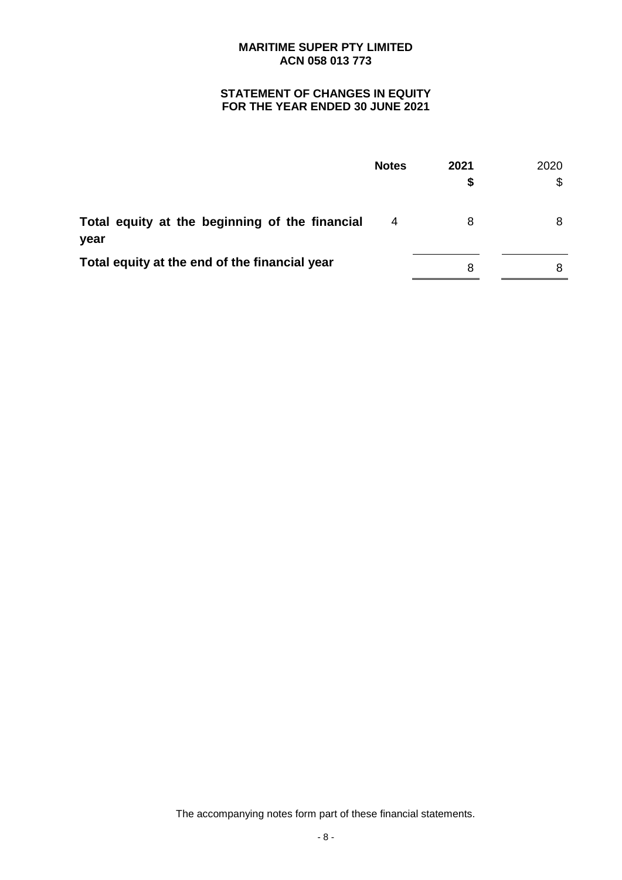# **STATEMENT OF CHANGES IN EQUITY FOR THE YEAR ENDED 30 JUNE 2021**

|                                                        | <b>Notes</b> | 2021<br>S | 2020 |
|--------------------------------------------------------|--------------|-----------|------|
| Total equity at the beginning of the financial<br>year | 4            | 8         |      |
| Total equity at the end of the financial year          |              | 8         |      |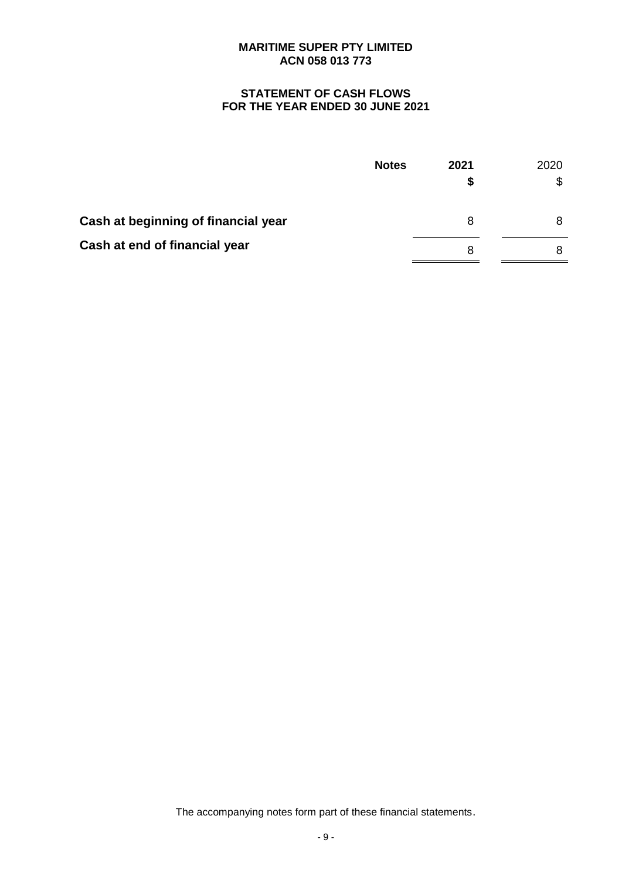# **STATEMENT OF CASH FLOWS FOR THE YEAR ENDED 30 JUNE 2021**

|                                     | <b>Notes</b> | 2021<br>S | 2020<br>\$ |
|-------------------------------------|--------------|-----------|------------|
| Cash at beginning of financial year |              | 8         | 8          |
| Cash at end of financial year       |              | 8         | 8          |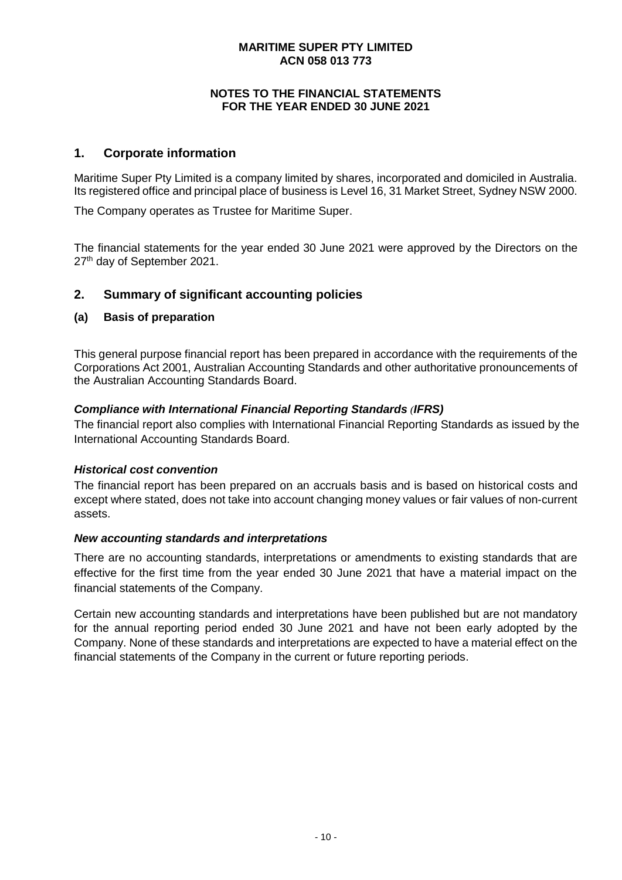# **NOTES TO THE FINANCIAL STATEMENTS FOR THE YEAR ENDED 30 JUNE 2021**

# **1. Corporate information**

Maritime Super Pty Limited is a company limited by shares, incorporated and domiciled in Australia. Its registered office and principal place of business is Level 16, 31 Market Street, Sydney NSW 2000.

The Company operates as Trustee for Maritime Super.

The financial statements for the year ended 30 June 2021 were approved by the Directors on the 27<sup>th</sup> day of September 2021.

# **2. Summary of significant accounting policies**

#### **(a) Basis of preparation**

This general purpose financial report has been prepared in accordance with the requirements of the Corporations Act 2001, Australian Accounting Standards and other authoritative pronouncements of the Australian Accounting Standards Board.

#### *Compliance with International Financial Reporting Standards (IFRS)*

The financial report also complies with International Financial Reporting Standards as issued by the International Accounting Standards Board.

#### *Historical cost convention*

The financial report has been prepared on an accruals basis and is based on historical costs and except where stated, does not take into account changing money values or fair values of non-current assets.

#### *New accounting standards and interpretations*

There are no accounting standards, interpretations or amendments to existing standards that are effective for the first time from the year ended 30 June 2021 that have a material impact on the financial statements of the Company.

Certain new accounting standards and interpretations have been published but are not mandatory for the annual reporting period ended 30 June 2021 and have not been early adopted by the Company. None of these standards and interpretations are expected to have a material effect on the financial statements of the Company in the current or future reporting periods.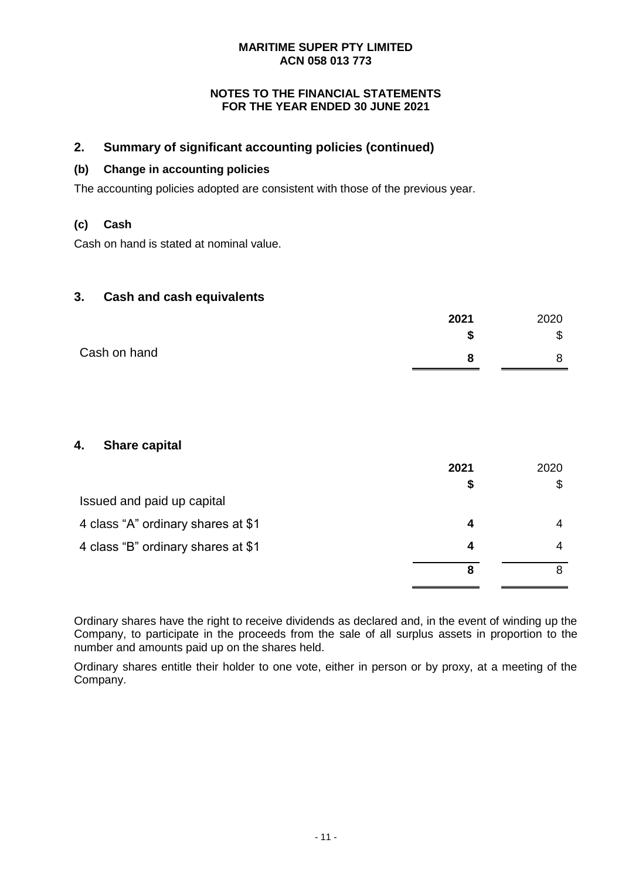# **NOTES TO THE FINANCIAL STATEMENTS FOR THE YEAR ENDED 30 JUNE 2021**

# **2. Summary of significant accounting policies (continued)**

# **(b) Change in accounting policies**

The accounting policies adopted are consistent with those of the previous year.

# **(c) Cash**

Cash on hand is stated at nominal value.

# **3. Cash and cash equivalents**

|              | 2021 | 2020   |
|--------------|------|--------|
|              | æ    | ₼<br>Φ |
| Cash on hand | о    |        |

# **4. Share capital**

|                                    | 2021 | 2020 |
|------------------------------------|------|------|
|                                    | S    |      |
| Issued and paid up capital         |      |      |
| 4 class "A" ordinary shares at \$1 | 4    |      |
| 4 class "B" ordinary shares at \$1 | 4    |      |
|                                    | 8    |      |

Ordinary shares have the right to receive dividends as declared and, in the event of winding up the Company, to participate in the proceeds from the sale of all surplus assets in proportion to the number and amounts paid up on the shares held.

Ordinary shares entitle their holder to one vote, either in person or by proxy, at a meeting of the Company.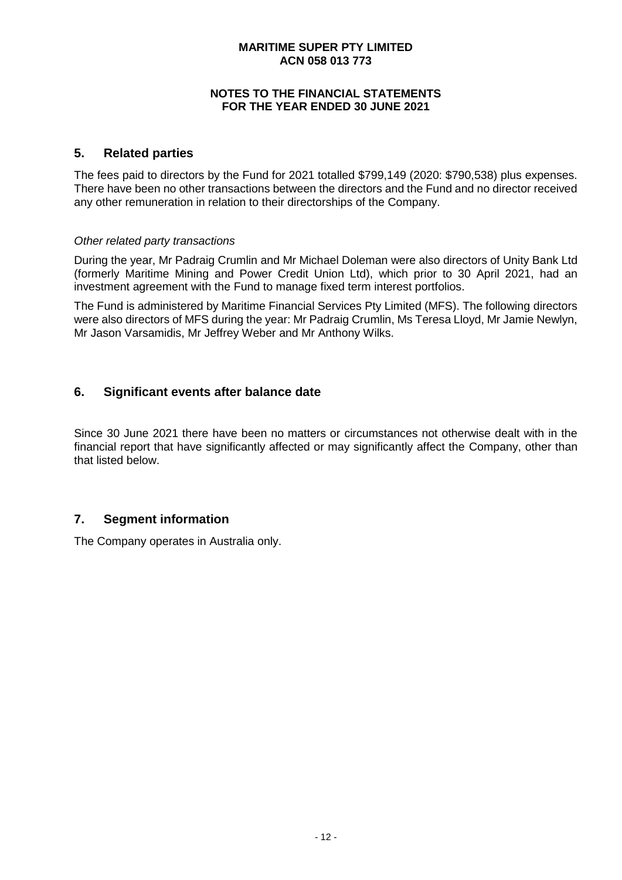### **NOTES TO THE FINANCIAL STATEMENTS FOR THE YEAR ENDED 30 JUNE 2021**

# **5. Related parties**

The fees paid to directors by the Fund for 2021 totalled \$799,149 (2020: \$790,538) plus expenses. There have been no other transactions between the directors and the Fund and no director received any other remuneration in relation to their directorships of the Company.

#### *Other related party transactions*

During the year, Mr Padraig Crumlin and Mr Michael Doleman were also directors of Unity Bank Ltd (formerly Maritime Mining and Power Credit Union Ltd), which prior to 30 April 2021, had an investment agreement with the Fund to manage fixed term interest portfolios.

The Fund is administered by Maritime Financial Services Pty Limited (MFS). The following directors were also directors of MFS during the year: Mr Padraig Crumlin, Ms Teresa Lloyd, Mr Jamie Newlyn, Mr Jason Varsamidis, Mr Jeffrey Weber and Mr Anthony Wilks.

# **6. Significant events after balance date**

Since 30 June 2021 there have been no matters or circumstances not otherwise dealt with in the financial report that have significantly affected or may significantly affect the Company, other than that listed below.

# **7. Segment information**

The Company operates in Australia only.